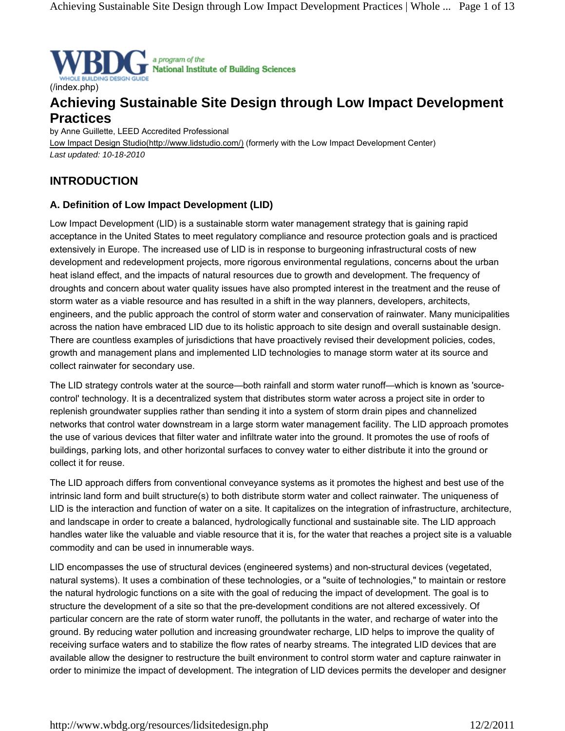

## (/index.php)

# **Achieving Sustainable Site Design through Low Impact Development Practices**

by Anne Guillette, LEED Accredited Professional Low Impact Design Studio(http://www.lidstudio.com/) (formerly with the Low Impact Development Center) *Last updated: 10-18-2010*

# **INTRODUCTION**

## **A. Definition of Low Impact Development (LID)**

Low Impact Development (LID) is a sustainable storm water management strategy that is gaining rapid acceptance in the United States to meet regulatory compliance and resource protection goals and is practiced extensively in Europe. The increased use of LID is in response to burgeoning infrastructural costs of new development and redevelopment projects, more rigorous environmental regulations, concerns about the urban heat island effect, and the impacts of natural resources due to growth and development. The frequency of droughts and concern about water quality issues have also prompted interest in the treatment and the reuse of storm water as a viable resource and has resulted in a shift in the way planners, developers, architects, engineers, and the public approach the control of storm water and conservation of rainwater. Many municipalities across the nation have embraced LID due to its holistic approach to site design and overall sustainable design. There are countless examples of jurisdictions that have proactively revised their development policies, codes, growth and management plans and implemented LID technologies to manage storm water at its source and collect rainwater for secondary use.

The LID strategy controls water at the source—both rainfall and storm water runoff—which is known as 'sourcecontrol' technology. It is a decentralized system that distributes storm water across a project site in order to replenish groundwater supplies rather than sending it into a system of storm drain pipes and channelized networks that control water downstream in a large storm water management facility. The LID approach promotes the use of various devices that filter water and infiltrate water into the ground. It promotes the use of roofs of buildings, parking lots, and other horizontal surfaces to convey water to either distribute it into the ground or collect it for reuse.

The LID approach differs from conventional conveyance systems as it promotes the highest and best use of the intrinsic land form and built structure(s) to both distribute storm water and collect rainwater. The uniqueness of LID is the interaction and function of water on a site. It capitalizes on the integration of infrastructure, architecture, and landscape in order to create a balanced, hydrologically functional and sustainable site. The LID approach handles water like the valuable and viable resource that it is, for the water that reaches a project site is a valuable commodity and can be used in innumerable ways.

LID encompasses the use of structural devices (engineered systems) and non-structural devices (vegetated, natural systems). It uses a combination of these technologies, or a "suite of technologies," to maintain or restore the natural hydrologic functions on a site with the goal of reducing the impact of development. The goal is to structure the development of a site so that the pre-development conditions are not altered excessively. Of particular concern are the rate of storm water runoff, the pollutants in the water, and recharge of water into the ground. By reducing water pollution and increasing groundwater recharge, LID helps to improve the quality of receiving surface waters and to stabilize the flow rates of nearby streams. The integrated LID devices that are available allow the designer to restructure the built environment to control storm water and capture rainwater in order to minimize the impact of development. The integration of LID devices permits the developer and designer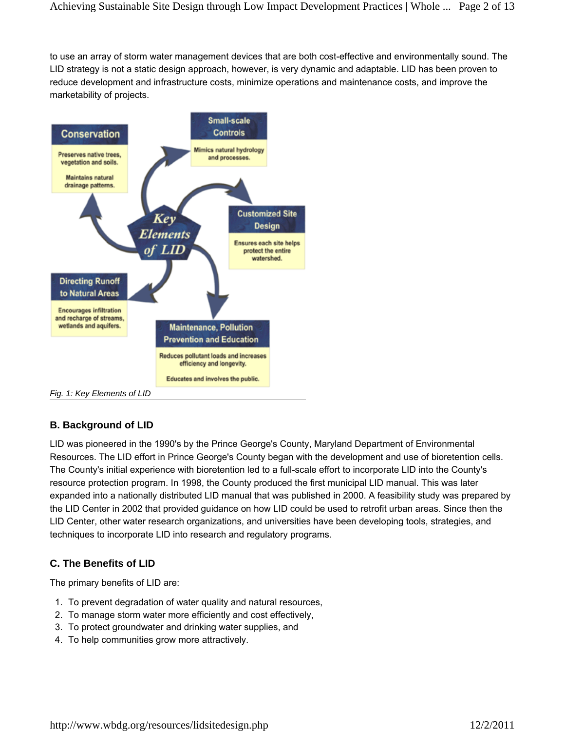to use an array of storm water management devices that are both cost-effective and environmentally sound. The LID strategy is not a static design approach, however, is very dynamic and adaptable. LID has been proven to reduce development and infrastructure costs, minimize operations and maintenance costs, and improve the marketability of projects.



# **B. Background of LID**

LID was pioneered in the 1990's by the Prince George's County, Maryland Department of Environmental Resources. The LID effort in Prince George's County began with the development and use of bioretention cells. The County's initial experience with bioretention led to a full-scale effort to incorporate LID into the County's resource protection program. In 1998, the County produced the first municipal LID manual. This was later expanded into a nationally distributed LID manual that was published in 2000. A feasibility study was prepared by the LID Center in 2002 that provided guidance on how LID could be used to retrofit urban areas. Since then the LID Center, other water research organizations, and universities have been developing tools, strategies, and techniques to incorporate LID into research and regulatory programs.

# **C. The Benefits of LID**

The primary benefits of LID are:

- 1. To prevent degradation of water quality and natural resources,
- 2. To manage storm water more efficiently and cost effectively,
- 3. To protect groundwater and drinking water supplies, and
- 4. To help communities grow more attractively.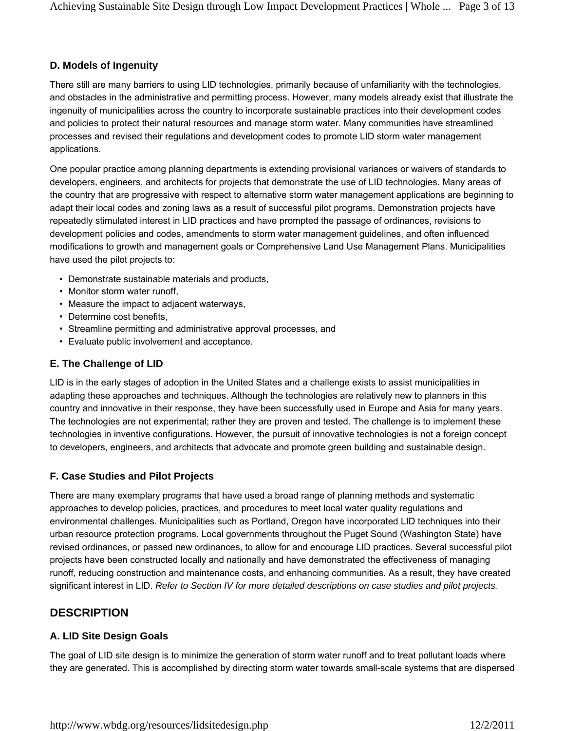## **D. Models of Ingenuity**

There still are many barriers to using LID technologies, primarily because of unfamiliarity with the technologies, and obstacles in the administrative and permitting process. However, many models already exist that illustrate the ingenuity of municipalities across the country to incorporate sustainable practices into their development codes and policies to protect their natural resources and manage storm water. Many communities have streamlined processes and revised their regulations and development codes to promote LID storm water management applications.

One popular practice among planning departments is extending provisional variances or waivers of standards to developers, engineers, and architects for projects that demonstrate the use of LID technologies. Many areas of the country that are progressive with respect to alternative storm water management applications are beginning to adapt their local codes and zoning laws as a result of successful pilot programs. Demonstration projects have repeatedly stimulated interest in LID practices and have prompted the passage of ordinances, revisions to development policies and codes, amendments to storm water management guidelines, and often influenced modifications to growth and management goals or Comprehensive Land Use Management Plans. Municipalities have used the pilot projects to:

- Demonstrate sustainable materials and products,
- Monitor storm water runoff,
- Measure the impact to adjacent waterways,
- Determine cost benefits,
- Streamline permitting and administrative approval processes, and
- Evaluate public involvement and acceptance.

## **E. The Challenge of LID**

LID is in the early stages of adoption in the United States and a challenge exists to assist municipalities in adapting these approaches and techniques. Although the technologies are relatively new to planners in this country and innovative in their response, they have been successfully used in Europe and Asia for many years. The technologies are not experimental; rather they are proven and tested. The challenge is to implement these technologies in inventive configurations. However, the pursuit of innovative technologies is not a foreign concept to developers, engineers, and architects that advocate and promote green building and sustainable design.

## **F. Case Studies and Pilot Projects**

There are many exemplary programs that have used a broad range of planning methods and systematic approaches to develop policies, practices, and procedures to meet local water quality regulations and environmental challenges. Municipalities such as Portland, Oregon have incorporated LID techniques into their urban resource protection programs. Local governments throughout the Puget Sound (Washington State) have revised ordinances, or passed new ordinances, to allow for and encourage LID practices. Several successful pilot projects have been constructed locally and nationally and have demonstrated the effectiveness of managing runoff, reducing construction and maintenance costs, and enhancing communities. As a result, they have created significant interest in LID. *Refer to Section IV for more detailed descriptions on case studies and pilot projects.*

# **DESCRIPTION**

## **A. LID Site Design Goals**

The goal of LID site design is to minimize the generation of storm water runoff and to treat pollutant loads where they are generated. This is accomplished by directing storm water towards small-scale systems that are dispersed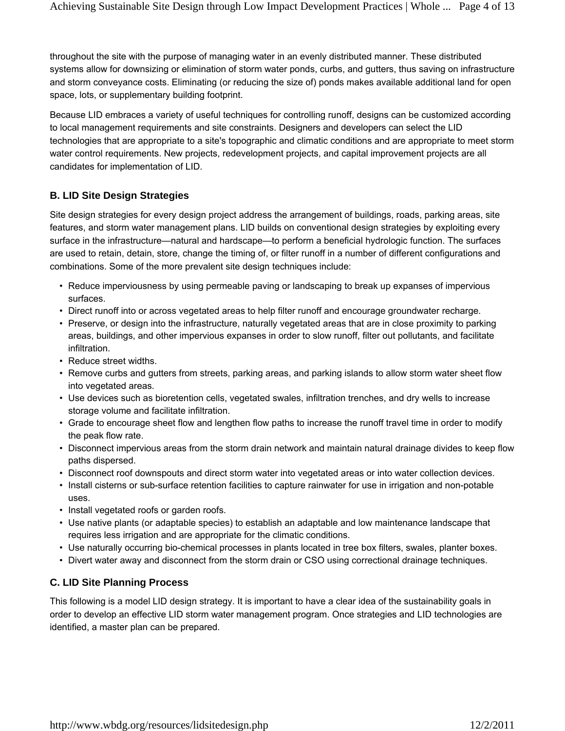throughout the site with the purpose of managing water in an evenly distributed manner. These distributed systems allow for downsizing or elimination of storm water ponds, curbs, and gutters, thus saving on infrastructure and storm conveyance costs. Eliminating (or reducing the size of) ponds makes available additional land for open space, lots, or supplementary building footprint.

Because LID embraces a variety of useful techniques for controlling runoff, designs can be customized according to local management requirements and site constraints. Designers and developers can select the LID technologies that are appropriate to a site's topographic and climatic conditions and are appropriate to meet storm water control requirements. New projects, redevelopment projects, and capital improvement projects are all candidates for implementation of LID.

## **B. LID Site Design Strategies**

Site design strategies for every design project address the arrangement of buildings, roads, parking areas, site features, and storm water management plans. LID builds on conventional design strategies by exploiting every surface in the infrastructure—natural and hardscape—to perform a beneficial hydrologic function. The surfaces are used to retain, detain, store, change the timing of, or filter runoff in a number of different configurations and combinations. Some of the more prevalent site design techniques include:

- Reduce imperviousness by using permeable paving or landscaping to break up expanses of impervious surfaces.
- Direct runoff into or across vegetated areas to help filter runoff and encourage groundwater recharge.
- Preserve, or design into the infrastructure, naturally vegetated areas that are in close proximity to parking areas, buildings, and other impervious expanses in order to slow runoff, filter out pollutants, and facilitate infiltration.
- Reduce street widths.
- Remove curbs and gutters from streets, parking areas, and parking islands to allow storm water sheet flow into vegetated areas.
- Use devices such as bioretention cells, vegetated swales, infiltration trenches, and dry wells to increase storage volume and facilitate infiltration.
- Grade to encourage sheet flow and lengthen flow paths to increase the runoff travel time in order to modify the peak flow rate.
- Disconnect impervious areas from the storm drain network and maintain natural drainage divides to keep flow paths dispersed.
- Disconnect roof downspouts and direct storm water into vegetated areas or into water collection devices.
- Install cisterns or sub-surface retention facilities to capture rainwater for use in irrigation and non-potable uses.
- Install vegetated roofs or garden roofs.
- Use native plants (or adaptable species) to establish an adaptable and low maintenance landscape that requires less irrigation and are appropriate for the climatic conditions.
- Use naturally occurring bio-chemical processes in plants located in tree box filters, swales, planter boxes.
- Divert water away and disconnect from the storm drain or CSO using correctional drainage techniques.

# **C. LID Site Planning Process**

This following is a model LID design strategy. It is important to have a clear idea of the sustainability goals in order to develop an effective LID storm water management program. Once strategies and LID technologies are identified, a master plan can be prepared.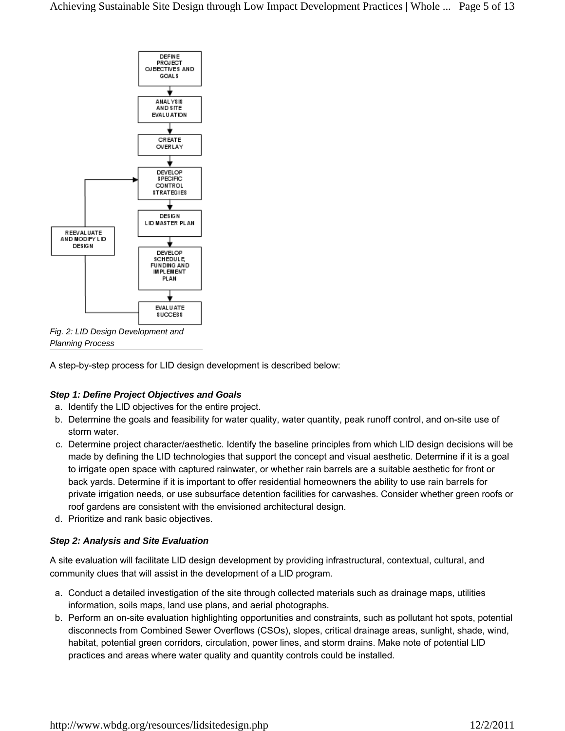

*Fig. 2: LID Design Development and Planning Process*

A step-by-step process for LID design development is described below:

## *Step 1: Define Project Objectives and Goals*

- a. Identify the LID objectives for the entire project.
- b. Determine the goals and feasibility for water quality, water quantity, peak runoff control, and on-site use of storm water.
- c. Determine project character/aesthetic. Identify the baseline principles from which LID design decisions will be made by defining the LID technologies that support the concept and visual aesthetic. Determine if it is a goal to irrigate open space with captured rainwater, or whether rain barrels are a suitable aesthetic for front or back yards. Determine if it is important to offer residential homeowners the ability to use rain barrels for private irrigation needs, or use subsurface detention facilities for carwashes. Consider whether green roofs or roof gardens are consistent with the envisioned architectural design.
- d. Prioritize and rank basic objectives.

## *Step 2: Analysis and Site Evaluation*

A site evaluation will facilitate LID design development by providing infrastructural, contextual, cultural, and community clues that will assist in the development of a LID program.

- a. Conduct a detailed investigation of the site through collected materials such as drainage maps, utilities information, soils maps, land use plans, and aerial photographs.
- b. Perform an on-site evaluation highlighting opportunities and constraints, such as pollutant hot spots, potential disconnects from Combined Sewer Overflows (CSOs), slopes, critical drainage areas, sunlight, shade, wind, habitat, potential green corridors, circulation, power lines, and storm drains. Make note of potential LID practices and areas where water quality and quantity controls could be installed.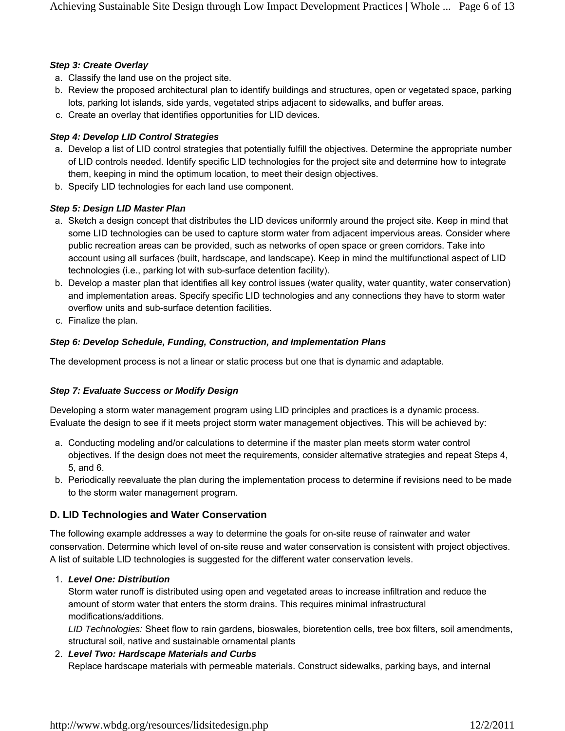#### *Step 3: Create Overlay*

- a. Classify the land use on the project site.
- b. Review the proposed architectural plan to identify buildings and structures, open or vegetated space, parking lots, parking lot islands, side yards, vegetated strips adjacent to sidewalks, and buffer areas.
- c. Create an overlay that identifies opportunities for LID devices.

## *Step 4: Develop LID Control Strategies*

- a. Develop a list of LID control strategies that potentially fulfill the objectives. Determine the appropriate number of LID controls needed. Identify specific LID technologies for the project site and determine how to integrate them, keeping in mind the optimum location, to meet their design objectives.
- b. Specify LID technologies for each land use component.

### *Step 5: Design LID Master Plan*

- a. Sketch a design concept that distributes the LID devices uniformly around the project site. Keep in mind that some LID technologies can be used to capture storm water from adjacent impervious areas. Consider where public recreation areas can be provided, such as networks of open space or green corridors. Take into account using all surfaces (built, hardscape, and landscape). Keep in mind the multifunctional aspect of LID technologies (i.e., parking lot with sub-surface detention facility).
- b. Develop a master plan that identifies all key control issues (water quality, water quantity, water conservation) and implementation areas. Specify specific LID technologies and any connections they have to storm water overflow units and sub-surface detention facilities.
- c. Finalize the plan.

### *Step 6: Develop Schedule, Funding, Construction, and Implementation Plans*

The development process is not a linear or static process but one that is dynamic and adaptable.

#### *Step 7: Evaluate Success or Modify Design*

Developing a storm water management program using LID principles and practices is a dynamic process. Evaluate the design to see if it meets project storm water management objectives. This will be achieved by:

- a. Conducting modeling and/or calculations to determine if the master plan meets storm water control objectives. If the design does not meet the requirements, consider alternative strategies and repeat Steps 4, 5, and 6.
- b. Periodically reevaluate the plan during the implementation process to determine if revisions need to be made to the storm water management program.

## **D. LID Technologies and Water Conservation**

The following example addresses a way to determine the goals for on-site reuse of rainwater and water conservation. Determine which level of on-site reuse and water conservation is consistent with project objectives. A list of suitable LID technologies is suggested for the different water conservation levels.

#### *Level One: Distribution* 1.

Storm water runoff is distributed using open and vegetated areas to increase infiltration and reduce the amount of storm water that enters the storm drains. This requires minimal infrastructural modifications/additions.

*LID Technologies:* Sheet flow to rain gardens, bioswales, bioretention cells, tree box filters, soil amendments, structural soil, native and sustainable ornamental plants

#### *Level Two: Hardscape Materials and Curbs* 2.

Replace hardscape materials with permeable materials. Construct sidewalks, parking bays, and internal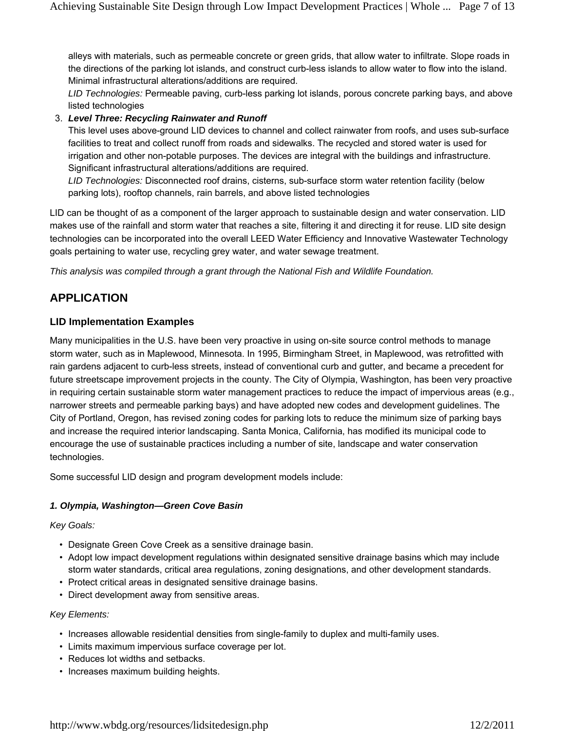alleys with materials, such as permeable concrete or green grids, that allow water to infiltrate. Slope roads in the directions of the parking lot islands, and construct curb-less islands to allow water to flow into the island. Minimal infrastructural alterations/additions are required.

*LID Technologies:* Permeable paving, curb-less parking lot islands, porous concrete parking bays, and above listed technologies

## *Level Three: Recycling Rainwater and Runoff* 3.

This level uses above-ground LID devices to channel and collect rainwater from roofs, and uses sub-surface facilities to treat and collect runoff from roads and sidewalks. The recycled and stored water is used for irrigation and other non-potable purposes. The devices are integral with the buildings and infrastructure. Significant infrastructural alterations/additions are required.

*LID Technologies:* Disconnected roof drains, cisterns, sub-surface storm water retention facility (below parking lots), rooftop channels, rain barrels, and above listed technologies

LID can be thought of as a component of the larger approach to sustainable design and water conservation. LID makes use of the rainfall and storm water that reaches a site, filtering it and directing it for reuse. LID site design technologies can be incorporated into the overall LEED Water Efficiency and Innovative Wastewater Technology goals pertaining to water use, recycling grey water, and water sewage treatment.

*This analysis was compiled through a grant through the National Fish and Wildlife Foundation.*

# **APPLICATION**

## **LID Implementation Examples**

Many municipalities in the U.S. have been very proactive in using on-site source control methods to manage storm water, such as in Maplewood, Minnesota. In 1995, Birmingham Street, in Maplewood, was retrofitted with rain gardens adjacent to curb-less streets, instead of conventional curb and gutter, and became a precedent for future streetscape improvement projects in the county. The City of Olympia, Washington, has been very proactive in requiring certain sustainable storm water management practices to reduce the impact of impervious areas (e.g., narrower streets and permeable parking bays) and have adopted new codes and development guidelines. The City of Portland, Oregon, has revised zoning codes for parking lots to reduce the minimum size of parking bays and increase the required interior landscaping. Santa Monica, California, has modified its municipal code to encourage the use of sustainable practices including a number of site, landscape and water conservation technologies.

Some successful LID design and program development models include:

#### *1. Olympia, Washington—Green Cove Basin*

#### *Key Goals:*

- Designate Green Cove Creek as a sensitive drainage basin.
- Adopt low impact development regulations within designated sensitive drainage basins which may include storm water standards, critical area regulations, zoning designations, and other development standards.
- Protect critical areas in designated sensitive drainage basins.
- Direct development away from sensitive areas.

#### *Key Elements:*

- Increases allowable residential densities from single-family to duplex and multi-family uses.
- Limits maximum impervious surface coverage per lot.
- Reduces lot widths and setbacks.
- Increases maximum building heights.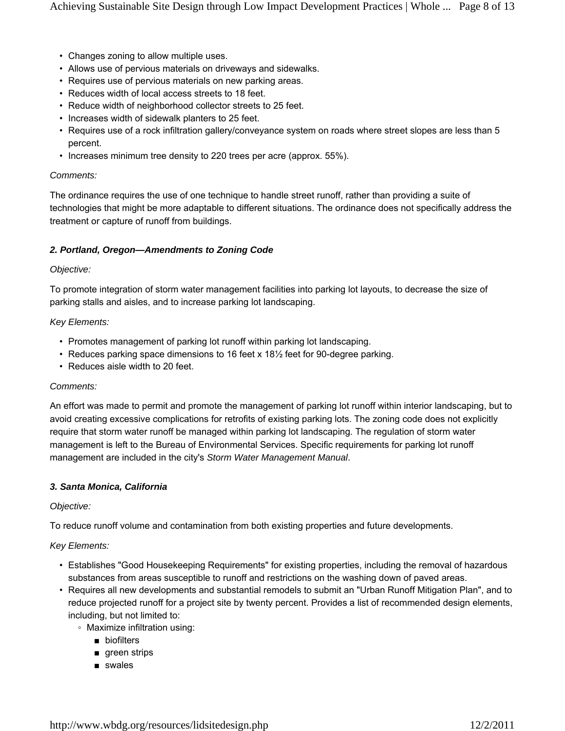- Changes zoning to allow multiple uses.
- Allows use of pervious materials on driveways and sidewalks.
- Requires use of pervious materials on new parking areas.
- Reduces width of local access streets to 18 feet.
- Reduce width of neighborhood collector streets to 25 feet.
- Increases width of sidewalk planters to 25 feet.
- Requires use of a rock infiltration gallery/conveyance system on roads where street slopes are less than 5 percent.
- Increases minimum tree density to 220 trees per acre (approx. 55%).

#### *Comments:*

The ordinance requires the use of one technique to handle street runoff, rather than providing a suite of technologies that might be more adaptable to different situations. The ordinance does not specifically address the treatment or capture of runoff from buildings.

#### *2. Portland, Oregon—Amendments to Zoning Code*

#### *Objective:*

To promote integration of storm water management facilities into parking lot layouts, to decrease the size of parking stalls and aisles, and to increase parking lot landscaping.

#### *Key Elements:*

- Promotes management of parking lot runoff within parking lot landscaping.
- Reduces parking space dimensions to 16 feet x 18½ feet for 90-degree parking.
- Reduces aisle width to 20 feet.

#### *Comments:*

An effort was made to permit and promote the management of parking lot runoff within interior landscaping, but to avoid creating excessive complications for retrofits of existing parking lots. The zoning code does not explicitly require that storm water runoff be managed within parking lot landscaping. The regulation of storm water management is left to the Bureau of Environmental Services. Specific requirements for parking lot runoff management are included in the city's *Storm Water Management Manual*.

#### *3. Santa Monica, California*

#### *Objective:*

To reduce runoff volume and contamination from both existing properties and future developments.

#### *Key Elements:*

- Establishes "Good Housekeeping Requirements" for existing properties, including the removal of hazardous substances from areas susceptible to runoff and restrictions on the washing down of paved areas.
- Requires all new developments and substantial remodels to submit an "Urban Runoff Mitigation Plan", and to reduce projected runoff for a project site by twenty percent. Provides a list of recommended design elements, including, but not limited to:
	- Maximize infiltration using:
		- biofilters
		- green strips
		- swales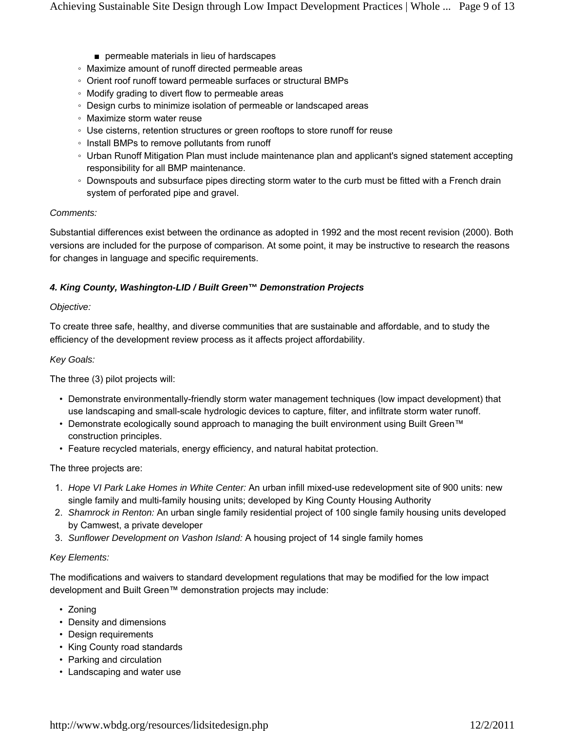- permeable materials in lieu of hardscapes
- Maximize amount of runoff directed permeable areas
- Orient roof runoff toward permeable surfaces or structural BMPs
- Modify grading to divert flow to permeable areas
- Design curbs to minimize isolation of permeable or landscaped areas
- Maximize storm water reuse
- Use cisterns, retention structures or green rooftops to store runoff for reuse
- Install BMPs to remove pollutants from runoff
- Urban Runoff Mitigation Plan must include maintenance plan and applicant's signed statement accepting responsibility for all BMP maintenance.
- Downspouts and subsurface pipes directing storm water to the curb must be fitted with a French drain system of perforated pipe and gravel.

#### *Comments:*

Substantial differences exist between the ordinance as adopted in 1992 and the most recent revision (2000). Both versions are included for the purpose of comparison. At some point, it may be instructive to research the reasons for changes in language and specific requirements.

### *4. King County, Washington-LID / Built Green™ Demonstration Projects*

#### *Objective:*

To create three safe, healthy, and diverse communities that are sustainable and affordable, and to study the efficiency of the development review process as it affects project affordability.

#### *Key Goals:*

The three (3) pilot projects will:

- Demonstrate environmentally-friendly storm water management techniques (low impact development) that use landscaping and small-scale hydrologic devices to capture, filter, and infiltrate storm water runoff.
- Demonstrate ecologically sound approach to managing the built environment using Built Green™ construction principles.
- Feature recycled materials, energy efficiency, and natural habitat protection.

#### The three projects are:

- *Hope VI Park Lake Homes in White Center:* An urban infill mixed-use redevelopment site of 900 units: new 1. single family and multi-family housing units; developed by King County Housing Authority
- *Shamrock in Renton:* An urban single family residential project of 100 single family housing units developed 2. by Camwest, a private developer
- 3. *Sunflower Development on Vashon Island:* A housing project of 14 single family homes

#### *Key Elements:*

The modifications and waivers to standard development regulations that may be modified for the low impact development and Built Green™ demonstration projects may include:

- Zoning
- Density and dimensions
- Design requirements
- King County road standards
- Parking and circulation
- Landscaping and water use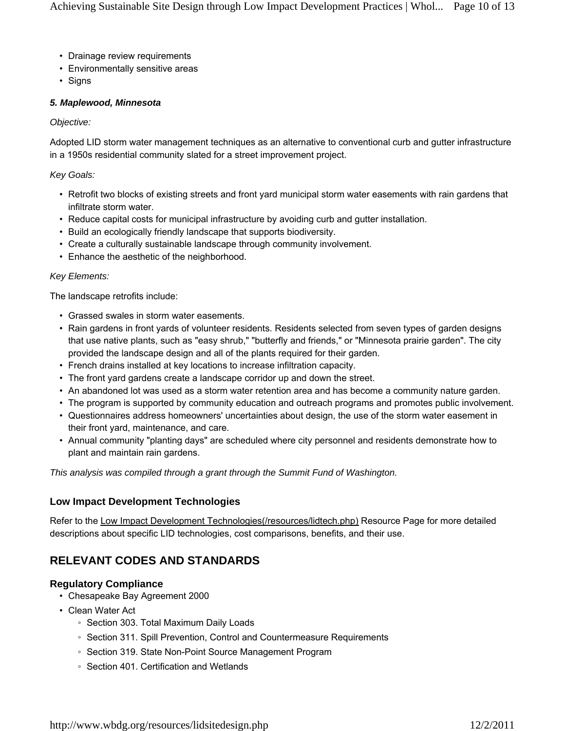- Drainage review requirements
- Environmentally sensitive areas
- Signs

#### *5. Maplewood, Minnesota*

#### *Objective:*

Adopted LID storm water management techniques as an alternative to conventional curb and gutter infrastructure in a 1950s residential community slated for a street improvement project.

#### *Key Goals:*

- Retrofit two blocks of existing streets and front yard municipal storm water easements with rain gardens that infiltrate storm water.
- Reduce capital costs for municipal infrastructure by avoiding curb and gutter installation.
- Build an ecologically friendly landscape that supports biodiversity.
- Create a culturally sustainable landscape through community involvement.
- Enhance the aesthetic of the neighborhood.

#### *Key Elements:*

The landscape retrofits include:

- Grassed swales in storm water easements.
- Rain gardens in front yards of volunteer residents. Residents selected from seven types of garden designs that use native plants, such as "easy shrub," "butterfly and friends," or "Minnesota prairie garden". The city provided the landscape design and all of the plants required for their garden.
- French drains installed at key locations to increase infiltration capacity.
- The front yard gardens create a landscape corridor up and down the street.
- An abandoned lot was used as a storm water retention area and has become a community nature garden.
- The program is supported by community education and outreach programs and promotes public involvement.
- Questionnaires address homeowners' uncertainties about design, the use of the storm water easement in their front yard, maintenance, and care.
- Annual community "planting days" are scheduled where city personnel and residents demonstrate how to plant and maintain rain gardens.

*This analysis was compiled through a grant through the Summit Fund of Washington.*

## **Low Impact Development Technologies**

Refer to the Low Impact Development Technologies(/resources/lidtech.php) Resource Page for more detailed descriptions about specific LID technologies, cost comparisons, benefits, and their use.

# **RELEVANT CODES AND STANDARDS**

## **Regulatory Compliance**

- Chesapeake Bay Agreement 2000
- Clean Water Act
	- Section 303. Total Maximum Daily Loads
	- Section 311. Spill Prevention, Control and Countermeasure Requirements
	- Section 319. State Non-Point Source Management Program
	- Section 401. Certification and Wetlands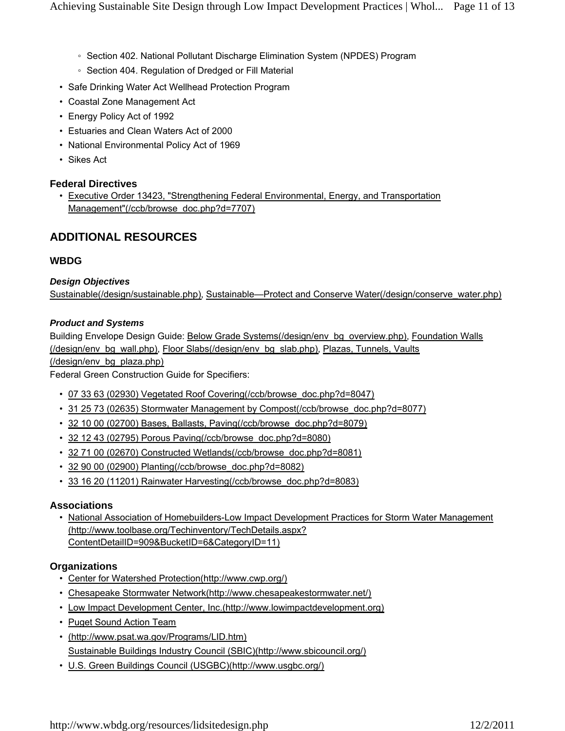- Section 402. National Pollutant Discharge Elimination System (NPDES) Program
- Section 404. Regulation of Dredged or Fill Material
- Safe Drinking Water Act Wellhead Protection Program
- Coastal Zone Management Act
- Energy Policy Act of 1992
- Estuaries and Clean Waters Act of 2000
- National Environmental Policy Act of 1969
- Sikes Act

## **Federal Directives**

• Executive Order 13423, "Strengthening Federal Environmental, Energy, and Transportation Management"(/ccb/browse\_doc.php?d=7707)

# **ADDITIONAL RESOURCES**

## **WBDG**

### *Design Objectives*

Sustainable(/design/sustainable.php), Sustainable—Protect and Conserve Water(/design/conserve\_water.php)

#### *Product and Systems*

Building Envelope Design Guide: Below Grade Systems(/design/env\_bg\_overview.php), Foundation Walls (/design/env\_bg\_wall.php), Floor Slabs(/design/env\_bg\_slab.php), Plazas, Tunnels, Vaults (/design/env\_bg\_plaza.php)

Federal Green Construction Guide for Specifiers:

- 07 33 63 (02930) Vegetated Roof Covering(/ccb/browse\_doc.php?d=8047)
- 31 25 73 (02635) Stormwater Management by Compost(/ccb/browse\_doc.php?d=8077)
- 32 10 00 (02700) Bases, Ballasts, Paving(/ccb/browse\_doc.php?d=8079)
- 32 12 43 (02795) Porous Paving(/ccb/browse\_doc.php?d=8080)
- 32 71 00 (02670) Constructed Wetlands(/ccb/browse\_doc.php?d=8081)
- 32 90 00 (02900) Planting(/ccb/browse\_doc.php?d=8082)
- 33 16 20 (11201) Rainwater Harvesting(/ccb/browse\_doc.php?d=8083)

#### **Associations**

• National Association of Homebuilders-Low Impact Development Practices for Storm Water Management (http://www.toolbase.org/Techinventory/TechDetails.aspx? ContentDetailID=909&BucketID=6&CategoryID=11)

## **Organizations**

- Center for Watershed Protection(http://www.cwp.org/)
- Chesapeake Stormwater Network(http://www.chesapeakestormwater.net/)
- Low Impact Development Center, Inc.(http://www.lowimpactdevelopment.org)
- Puget Sound Action Team
- (http://www.psat.wa.gov/Programs/LID.htm) Sustainable Buildings Industry Council (SBIC)(http://www.sbicouncil.org/)
- U.S. Green Buildings Council (USGBC)(http://www.usgbc.org/)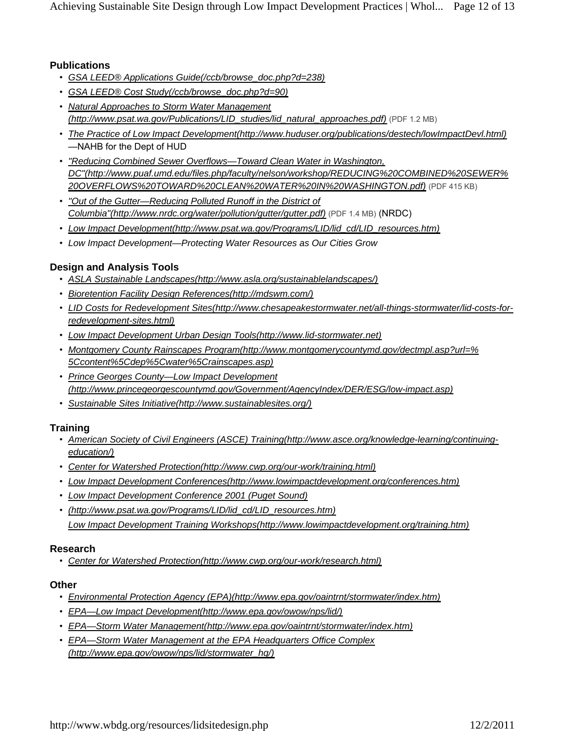# **Publications**

- *GSA LEED® Applications Guide(/ccb/browse\_doc.php?d=238)*
- *GSA LEED® Cost Study(/ccb/browse\_doc.php?d=90)*
- *Natural Approaches to Storm Water Management (http://www.psat.wa.gov/Publications/LID\_studies/lid\_natural\_approaches.pdf)* (PDF 1.2 MB)
- *The Practice of Low Impact Development(http://www.huduser.org/publications/destech/lowImpactDevl.html)* —NAHB for the Dept of HUD
- *"Reducing Combined Sewer Overflows—Toward Clean Water in Washington, DC"(http://www.puaf.umd.edu/files.php/faculty/nelson/workshop/REDUCING%20COMBINED%20SEWER% 20OVERFLOWS%20TOWARD%20CLEAN%20WATER%20IN%20WASHINGTON.pdf)* (PDF 415 KB)
- *"Out of the Gutter—Reducing Polluted Runoff in the District of Columbia"(http://www.nrdc.org/water/pollution/gutter/gutter.pdf)* (PDF 1.4 MB) (NRDC)
- *Low Impact Development(http://www.psat.wa.gov/Programs/LID/lid\_cd/LID\_resources.htm)*
- *Low Impact Development—Protecting Water Resources as Our Cities Grow*

# **Design and Analysis Tools**

- *ASLA Sustainable Landscapes(http://www.asla.org/sustainablelandscapes/)*
- *Bioretention Facility Design References(http://mdswm.com/)*
- *LID Costs for Redevelopment Sites(http://www.chesapeakestormwater.net/all-things-stormwater/lid-costs-for- redevelopment-sites.html)*
- *Low Impact Development Urban Design Tools(http://www.lid-stormwater.net)*
- *Montgomery County Rainscapes Program(http://www.montgomerycountymd.gov/dectmpl.asp?url=% 5Ccontent%5Cdep%5Cwater%5Crainscapes.asp)*
- *Prince Georges County—Low Impact Development (http://www.princegeorgescountymd.gov/Government/AgencyIndex/DER/ESG/low-impact.asp)*
- *Sustainable Sites Initiative(http://www.sustainablesites.org/)*

# **Training**

- *American Society of Civil Engineers (ASCE) Training(http://www.asce.org/knowledge-learning/continuing- education/)*
- *Center for Watershed Protection(http://www.cwp.org/our-work/training.html)*
- *Low Impact Development Conferences(http://www.lowimpactdevelopment.org/conferences.htm)*
- *Low Impact Development Conference 2001 (Puget Sound)*
- *(http://www.psat.wa.gov/Programs/LID/lid\_cd/LID\_resources.htm) Low Impact Development Training Workshops(http://www.lowimpactdevelopment.org/training.htm)*

# **Research**

• *Center for Watershed Protection(http://www.cwp.org/our-work/research.html)*

# **Other**

- *Environmental Protection Agency (EPA)(http://www.epa.gov/oaintrnt/stormwater/index.htm)*
- *EPA—Low Impact Development(http://www.epa.gov/owow/nps/lid/)*
- *EPA—Storm Water Management(http://www.epa.gov/oaintrnt/stormwater/index.htm)*
- *EPA—Storm Water Management at the EPA Headquarters Office Complex (http://www.epa.gov/owow/nps/lid/stormwater\_hq/)*